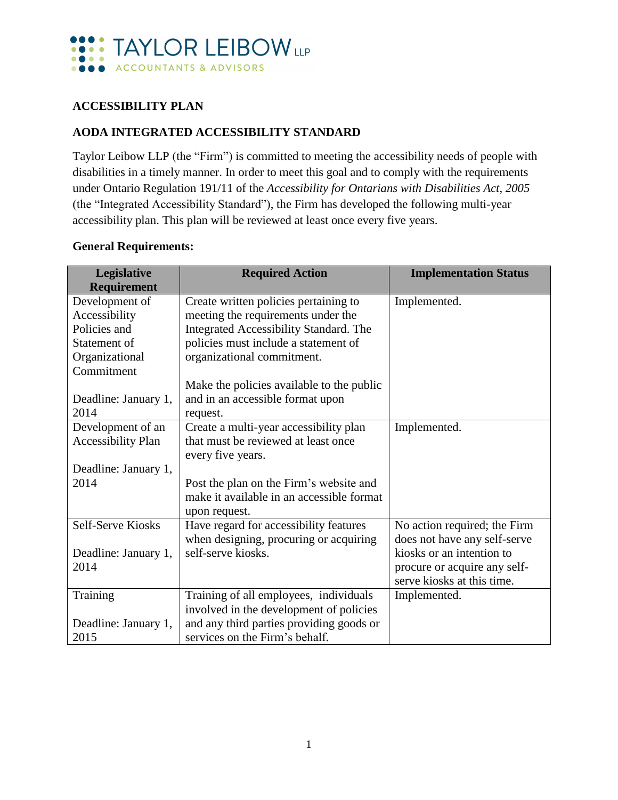

#### **ACCESSIBILITY PLAN**

#### **AODA INTEGRATED ACCESSIBILITY STANDARD**

Taylor Leibow LLP (the "Firm") is committed to meeting the accessibility needs of people with disabilities in a timely manner. In order to meet this goal and to comply with the requirements under Ontario Regulation 191/11 of the *Accessibility for Ontarians with Disabilities Act, 2005* (the "Integrated Accessibility Standard"), the Firm has developed the following multi-year accessibility plan. This plan will be reviewed at least once every five years.

#### **General Requirements:**

| Legislative          | <b>Required Action</b>                    | <b>Implementation Status</b> |
|----------------------|-------------------------------------------|------------------------------|
| <b>Requirement</b>   |                                           |                              |
| Development of       | Create written policies pertaining to     | Implemented.                 |
| Accessibility        | meeting the requirements under the        |                              |
| Policies and         | Integrated Accessibility Standard. The    |                              |
| Statement of         | policies must include a statement of      |                              |
| Organizational       | organizational commitment.                |                              |
| Commitment           |                                           |                              |
|                      | Make the policies available to the public |                              |
| Deadline: January 1, | and in an accessible format upon          |                              |
| 2014                 | request.                                  |                              |
| Development of an    | Create a multi-year accessibility plan    | Implemented.                 |
| Accessibility Plan   | that must be reviewed at least once       |                              |
|                      | every five years.                         |                              |
| Deadline: January 1, |                                           |                              |
| 2014                 | Post the plan on the Firm's website and   |                              |
|                      | make it available in an accessible format |                              |
|                      | upon request.                             |                              |
| Self-Serve Kiosks    | Have regard for accessibility features    | No action required; the Firm |
|                      | when designing, procuring or acquiring    | does not have any self-serve |
| Deadline: January 1, | self-serve kiosks.                        | kiosks or an intention to    |
| 2014                 |                                           | procure or acquire any self- |
|                      |                                           | serve kiosks at this time.   |
| Training             | Training of all employees, individuals    | Implemented.                 |
|                      | involved in the development of policies   |                              |
| Deadline: January 1, | and any third parties providing goods or  |                              |
| 2015                 | services on the Firm's behalf.            |                              |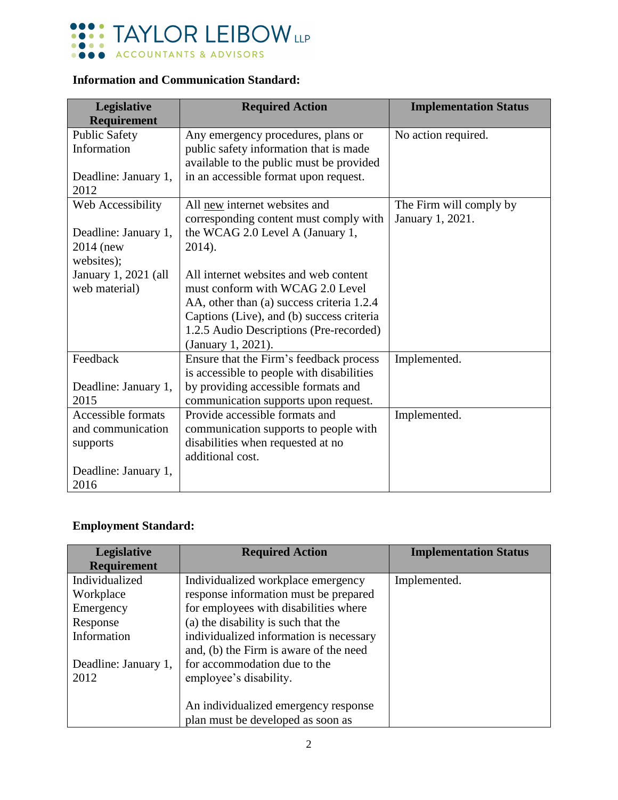

### **Information and Communication Standard:**

| Legislative<br><b>Requirement</b> | <b>Required Action</b>                                                    | <b>Implementation Status</b> |
|-----------------------------------|---------------------------------------------------------------------------|------------------------------|
| <b>Public Safety</b>              | Any emergency procedures, plans or                                        | No action required.          |
| Information                       | public safety information that is made                                    |                              |
|                                   | available to the public must be provided                                  |                              |
| Deadline: January 1,              | in an accessible format upon request.                                     |                              |
| 2012                              |                                                                           |                              |
| Web Accessibility                 | All new internet websites and                                             | The Firm will comply by      |
|                                   | corresponding content must comply with                                    | January 1, 2021.             |
| Deadline: January 1,              | the WCAG 2.0 Level A (January 1,                                          |                              |
| 2014 (new                         | 2014).                                                                    |                              |
| websites);                        |                                                                           |                              |
| January 1, 2021 (all              | All internet websites and web content<br>must conform with WCAG 2.0 Level |                              |
| web material)                     | AA, other than (a) success criteria 1.2.4                                 |                              |
|                                   | Captions (Live), and (b) success criteria                                 |                              |
|                                   | 1.2.5 Audio Descriptions (Pre-recorded)                                   |                              |
|                                   | (January 1, 2021).                                                        |                              |
| Feedback                          | Ensure that the Firm's feedback process                                   | Implemented.                 |
|                                   | is accessible to people with disabilities                                 |                              |
| Deadline: January 1,              | by providing accessible formats and                                       |                              |
| 2015                              | communication supports upon request.                                      |                              |
| <b>Accessible formats</b>         | Provide accessible formats and                                            | Implemented.                 |
| and communication                 | communication supports to people with                                     |                              |
| supports                          | disabilities when requested at no                                         |                              |
|                                   | additional cost.                                                          |                              |
| Deadline: January 1,              |                                                                           |                              |
| 2016                              |                                                                           |                              |

## **Employment Standard:**

| Legislative          | <b>Required Action</b>                  | <b>Implementation Status</b> |
|----------------------|-----------------------------------------|------------------------------|
| <b>Requirement</b>   |                                         |                              |
| Individualized       | Individualized workplace emergency      | Implemented.                 |
| Workplace            | response information must be prepared   |                              |
| Emergency            | for employees with disabilities where   |                              |
| Response             | (a) the disability is such that the     |                              |
| Information          | individualized information is necessary |                              |
|                      | and, (b) the Firm is aware of the need  |                              |
| Deadline: January 1, | for accommodation due to the            |                              |
| 2012                 | employee's disability.                  |                              |
|                      |                                         |                              |
|                      | An individualized emergency response    |                              |
|                      | plan must be developed as soon as       |                              |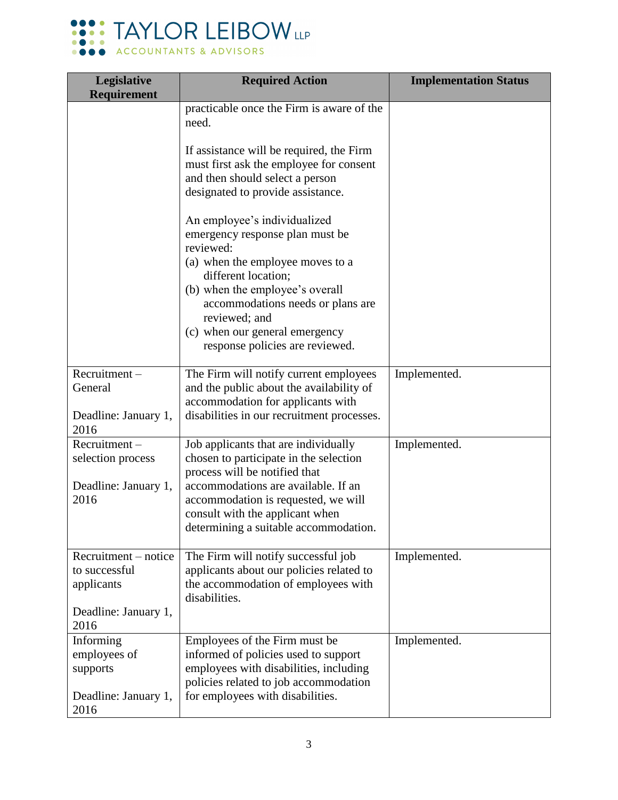

| Legislative<br><b>Requirement</b>                                                   | <b>Required Action</b>                                                                                                                                                                                                                                                    | <b>Implementation Status</b> |
|-------------------------------------------------------------------------------------|---------------------------------------------------------------------------------------------------------------------------------------------------------------------------------------------------------------------------------------------------------------------------|------------------------------|
|                                                                                     | practicable once the Firm is aware of the<br>need.                                                                                                                                                                                                                        |                              |
|                                                                                     | If assistance will be required, the Firm<br>must first ask the employee for consent<br>and then should select a person<br>designated to provide assistance.                                                                                                               |                              |
|                                                                                     | An employee's individualized<br>emergency response plan must be<br>reviewed:<br>(a) when the employee moves to a<br>different location;<br>(b) when the employee's overall<br>accommodations needs or plans are<br>reviewed; and<br>(c) when our general emergency        |                              |
|                                                                                     | response policies are reviewed.                                                                                                                                                                                                                                           |                              |
| Recruitment-<br>General<br>Deadline: January 1,<br>2016                             | The Firm will notify current employees<br>and the public about the availability of<br>accommodation for applicants with<br>disabilities in our recruitment processes.                                                                                                     | Implemented.                 |
| Recruitment-<br>selection process<br>Deadline: January 1,<br>2016                   | Job applicants that are individually<br>chosen to participate in the selection<br>process will be notified that<br>accommodations are available. If an<br>accommodation is requested, we will<br>consult with the applicant when<br>determining a suitable accommodation. | Implemented.                 |
| Recruitment - notice<br>to successful<br>applicants<br>Deadline: January 1,<br>2016 | The Firm will notify successful job<br>applicants about our policies related to<br>the accommodation of employees with<br>disabilities.                                                                                                                                   | Implemented.                 |
| Informing<br>employees of<br>supports<br>Deadline: January 1,<br>2016               | Employees of the Firm must be<br>informed of policies used to support<br>employees with disabilities, including<br>policies related to job accommodation<br>for employees with disabilities.                                                                              | Implemented.                 |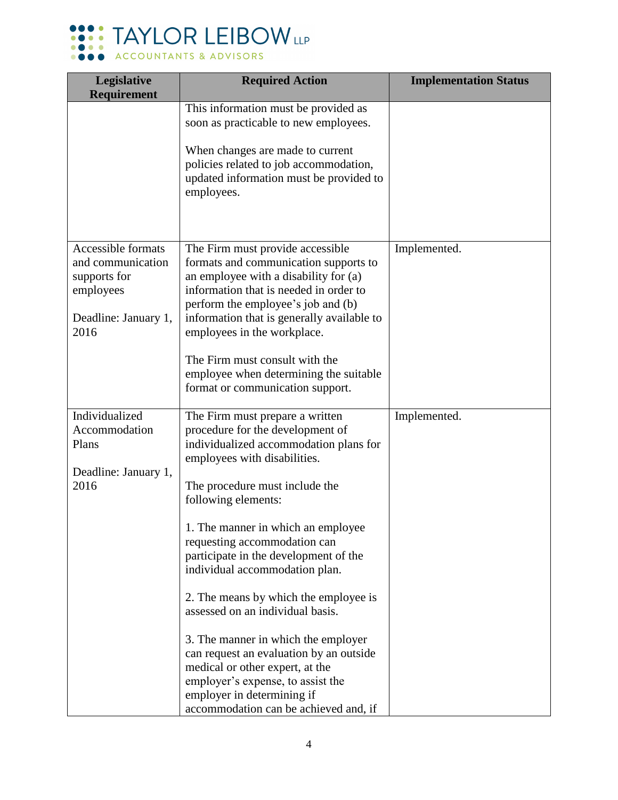

| Legislative<br><b>Requirement</b>                                                                    | <b>Required Action</b>                                                                                                                                                                                                                                                                                                                                                                          | <b>Implementation Status</b> |
|------------------------------------------------------------------------------------------------------|-------------------------------------------------------------------------------------------------------------------------------------------------------------------------------------------------------------------------------------------------------------------------------------------------------------------------------------------------------------------------------------------------|------------------------------|
|                                                                                                      | This information must be provided as<br>soon as practicable to new employees.                                                                                                                                                                                                                                                                                                                   |                              |
|                                                                                                      | When changes are made to current<br>policies related to job accommodation,<br>updated information must be provided to<br>employees.                                                                                                                                                                                                                                                             |                              |
| Accessible formats<br>and communication<br>supports for<br>employees<br>Deadline: January 1,<br>2016 | The Firm must provide accessible<br>formats and communication supports to<br>an employee with a disability for (a)<br>information that is needed in order to<br>perform the employee's job and (b)<br>information that is generally available to<br>employees in the workplace.<br>The Firm must consult with the<br>employee when determining the suitable<br>format or communication support. | Implemented.                 |
| Individualized<br>Accommodation<br>Plans                                                             | The Firm must prepare a written<br>procedure for the development of<br>individualized accommodation plans for                                                                                                                                                                                                                                                                                   | Implemented.                 |
| Deadline: January 1,<br>2016                                                                         | employees with disabilities.<br>The procedure must include the<br>following elements:                                                                                                                                                                                                                                                                                                           |                              |
|                                                                                                      | 1. The manner in which an employee<br>requesting accommodation can<br>participate in the development of the<br>individual accommodation plan.                                                                                                                                                                                                                                                   |                              |
|                                                                                                      | 2. The means by which the employee is<br>assessed on an individual basis.                                                                                                                                                                                                                                                                                                                       |                              |
|                                                                                                      | 3. The manner in which the employer<br>can request an evaluation by an outside<br>medical or other expert, at the<br>employer's expense, to assist the<br>employer in determining if                                                                                                                                                                                                            |                              |
|                                                                                                      | accommodation can be achieved and, if                                                                                                                                                                                                                                                                                                                                                           |                              |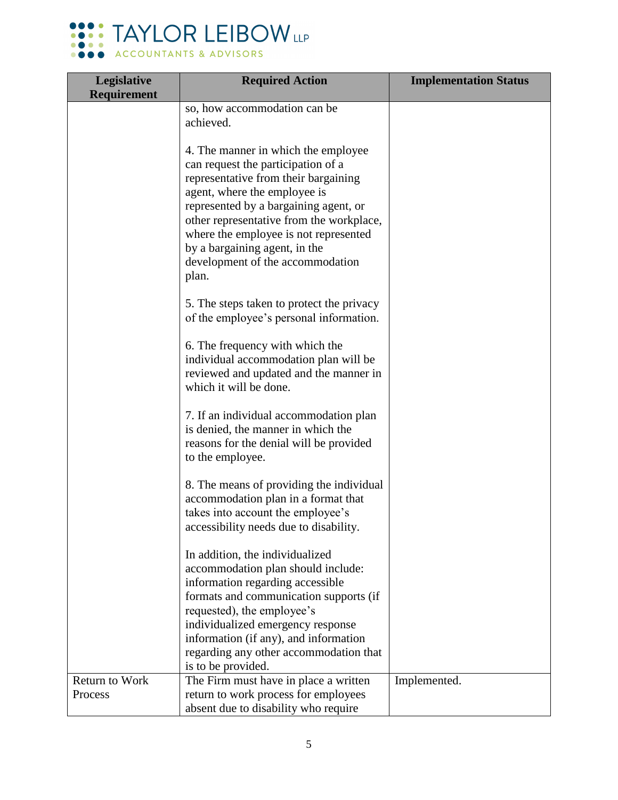

| Legislative        | <b>Required Action</b>                                                     | <b>Implementation Status</b> |
|--------------------|----------------------------------------------------------------------------|------------------------------|
| <b>Requirement</b> |                                                                            |                              |
|                    | so, how accommodation can be<br>achieved.                                  |                              |
|                    | 4. The manner in which the employee                                        |                              |
|                    | can request the participation of a                                         |                              |
|                    | representative from their bargaining                                       |                              |
|                    | agent, where the employee is                                               |                              |
|                    | represented by a bargaining agent, or                                      |                              |
|                    | other representative from the workplace,                                   |                              |
|                    | where the employee is not represented                                      |                              |
|                    | by a bargaining agent, in the                                              |                              |
|                    | development of the accommodation                                           |                              |
|                    | plan.                                                                      |                              |
|                    | 5. The steps taken to protect the privacy                                  |                              |
|                    | of the employee's personal information.                                    |                              |
|                    | 6. The frequency with which the                                            |                              |
|                    | individual accommodation plan will be                                      |                              |
|                    | reviewed and updated and the manner in                                     |                              |
|                    | which it will be done.                                                     |                              |
|                    | 7. If an individual accommodation plan                                     |                              |
|                    | is denied, the manner in which the                                         |                              |
|                    | reasons for the denial will be provided                                    |                              |
|                    | to the employee.                                                           |                              |
|                    | 8. The means of providing the individual                                   |                              |
|                    | accommodation plan in a format that                                        |                              |
|                    | takes into account the employee's                                          |                              |
|                    | accessibility needs due to disability.                                     |                              |
|                    | In addition, the individualized                                            |                              |
|                    | accommodation plan should include:                                         |                              |
|                    | information regarding accessible                                           |                              |
|                    | formats and communication supports (if                                     |                              |
|                    | requested), the employee's                                                 |                              |
|                    | individualized emergency response<br>information (if any), and information |                              |
|                    | regarding any other accommodation that                                     |                              |
|                    | is to be provided.                                                         |                              |
| Return to Work     | The Firm must have in place a written                                      | Implemented.                 |
| Process            | return to work process for employees                                       |                              |
|                    | absent due to disability who require                                       |                              |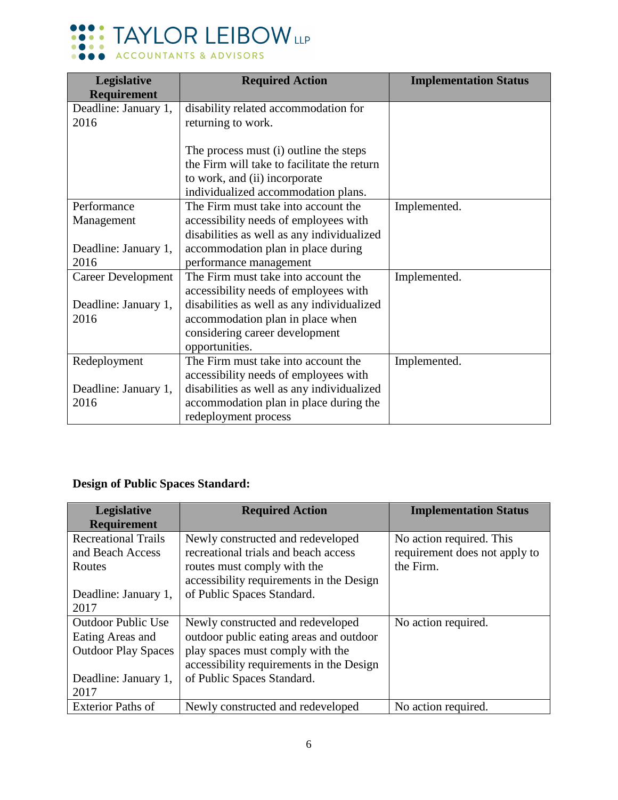

| Legislative               | <b>Required Action</b>                      | <b>Implementation Status</b> |
|---------------------------|---------------------------------------------|------------------------------|
| Requirement               |                                             |                              |
| Deadline: January 1,      | disability related accommodation for        |                              |
| 2016                      | returning to work.                          |                              |
|                           |                                             |                              |
|                           | The process must (i) outline the steps      |                              |
|                           | the Firm will take to facilitate the return |                              |
|                           | to work, and (ii) incorporate               |                              |
|                           | individualized accommodation plans.         |                              |
| Performance               | The Firm must take into account the         | Implemented.                 |
| Management                | accessibility needs of employees with       |                              |
|                           | disabilities as well as any individualized  |                              |
| Deadline: January 1,      | accommodation plan in place during          |                              |
| 2016                      | performance management                      |                              |
| <b>Career Development</b> | The Firm must take into account the         | Implemented.                 |
|                           | accessibility needs of employees with       |                              |
| Deadline: January 1,      | disabilities as well as any individualized  |                              |
| 2016                      | accommodation plan in place when            |                              |
|                           | considering career development              |                              |
|                           | opportunities.                              |                              |
| Redeployment              | The Firm must take into account the         | Implemented.                 |
|                           | accessibility needs of employees with       |                              |
| Deadline: January 1,      | disabilities as well as any individualized  |                              |
| 2016                      | accommodation plan in place during the      |                              |
|                           | redeployment process                        |                              |

# **Design of Public Spaces Standard:**

| <b>Legislative</b>         | <b>Required Action</b>                   | <b>Implementation Status</b>  |
|----------------------------|------------------------------------------|-------------------------------|
| <b>Requirement</b>         |                                          |                               |
| <b>Recreational Trails</b> | Newly constructed and redeveloped        | No action required. This      |
| and Beach Access           | recreational trials and beach access     | requirement does not apply to |
| Routes                     | routes must comply with the              | the Firm.                     |
|                            | accessibility requirements in the Design |                               |
| Deadline: January 1,       | of Public Spaces Standard.               |                               |
| 2017                       |                                          |                               |
| <b>Outdoor Public Use</b>  | Newly constructed and redeveloped        | No action required.           |
| Eating Areas and           | outdoor public eating areas and outdoor  |                               |
| <b>Outdoor Play Spaces</b> | play spaces must comply with the         |                               |
|                            | accessibility requirements in the Design |                               |
| Deadline: January 1,       | of Public Spaces Standard.               |                               |
| 2017                       |                                          |                               |
| <b>Exterior Paths of</b>   | Newly constructed and redeveloped        | No action required.           |